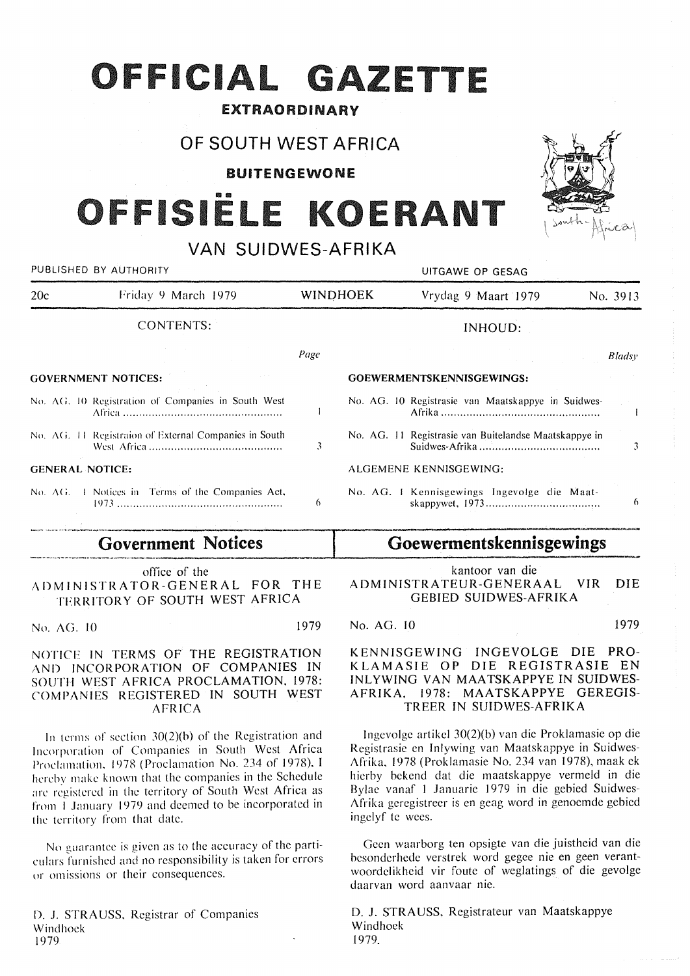## **OFFICIAL GAZETTE**

## EXTRAORDINARY

## OF SOUTH WEST AFRICA

**BUITENGEWONE** 

# **FISIËLE K**

VAN SUIDWES-AFRIKA

|      | UITGAWE OP GESAG                                                                                                                                                 |                 |  |
|------|------------------------------------------------------------------------------------------------------------------------------------------------------------------|-----------------|--|
|      | Vrydag 9 Maart 1979<br>No. 3913                                                                                                                                  |                 |  |
|      | INHOUD:                                                                                                                                                          |                 |  |
| Page | Bladsy                                                                                                                                                           |                 |  |
|      | GOEWERMENTSKENNISGEWINGS:                                                                                                                                        |                 |  |
|      | No. AG. 10 Registrasie van Maatskappye in Suidwes-                                                                                                               |                 |  |
| 3    | No. AG. 11 Registrasie van Buitelandse Maatskappye in                                                                                                            | 3               |  |
|      | ALGEMENE KENNISGEWING:                                                                                                                                           |                 |  |
| 6    | No. AG. I Kennisgewings Ingevolge die Maat-                                                                                                                      | 6               |  |
|      | No. AG. 10 Registration of Companies in South West<br>No. AG. 11 Registration of External Companies in South<br>No. AG. I Notices in Terms of the Companies Act, | <b>WINDHOEK</b> |  |

## **Government Notices**

office of the ADMINISTRATOR-GENERAL FOR THE TERRITORY OF SOUTH WEST AFRICA

No. AG. 10 1979

NOTICE IN TERMS OF THE REGISTRATION AND INCORPORATION OF COMPANIES IN SOUTH WEST AFRICA PROCLAMATION, 1978: COMPANIES REGISTERED IN SOUTH WEST AFRICA

In terms of section 30(2)(b) of the Registration and Incorporation of Companies in South West Africa Proclamation, 1978 (Proclamation No. 234 of 1978). I hereby make known that the companies in the Schedule arc registered in the territory of South West Africa as from I January 1979 and deemed to be incorporated in the territory from that date.

No guarantee is given as to the accuracy of the particulars furnished and no responsibility is taken for errors ur omissions or their consequences.

D. J. STRAUSS, Registrar of Companies Windhoek 1979

kantoor van die ADMINISTRATEUR-GENERAAL VIR DIE GEBIED SUIDWES-AFRIKA

**Goewermentskennisgewings** 

No. AG. JO 1979

K ENNISGEWING INGEVOLGE DIE PRO-KLAMASIE OP DIE REGISTRASIE EN INLYWING VAN MAATSKAPPYE IN SUIDWES-AFRIKA. 1978: MAATSKAPPYE GEREGIS-TREER IN SUIDWES-AFRIKA

lngevolge artikel 30(2)(b) van die Proklamasie op die Registrasie en lnlywing van Maatskappye in Suidwes-Afrika, 1978 (Proklamasie No. 234 van 1978), maak ek hierby bekend dat die maatskappye vermeld in die Bylae vanaf I Januarie 1979 in die gebied Suidwes-Afrika geregistreer is en geag word in genoemde gebied ingelyf te wees.

Geen waarborg ten opsigte van die juistheid van die besonderhede verstrek word gegee nie en geen verantwoordelikheid vir foute of weglatings of die gevolge daarvan word aanvaar nie.

D. J. STRAUSS, Registrateur van Maatskappye Windhoek . 1979.

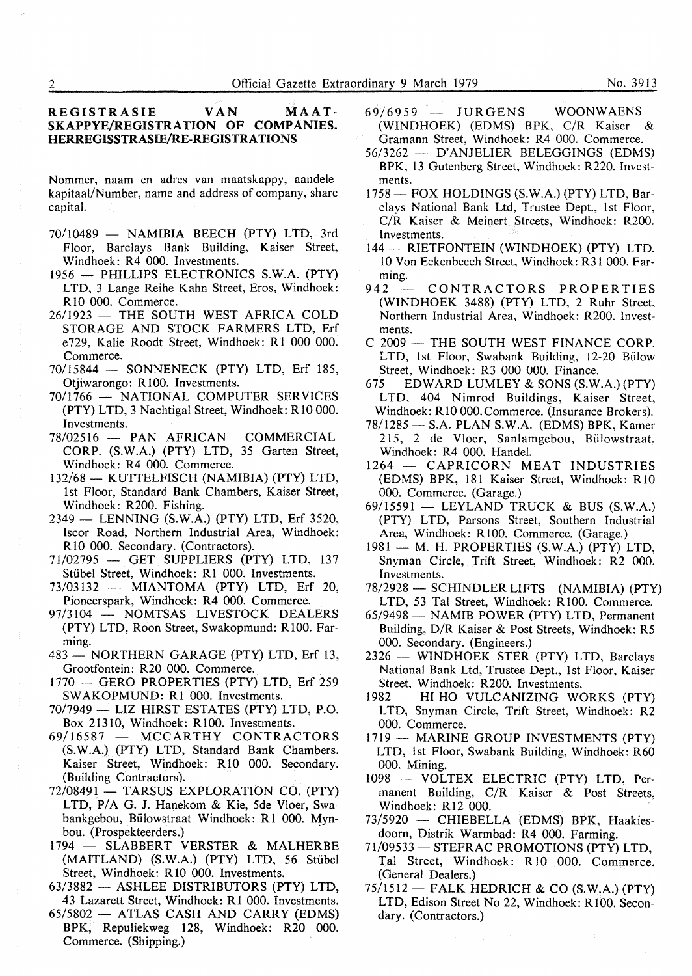## **REGISTRASIE VAN MAAT-SKAPPYE/REGISTRATION OF COMPANIES. HERREGISSTRASIE/RE-REGISTRATIONS**

Nommer, naam en adres van maatskappy, aandelekapitaal/Number, name and address of company, share capital.

- 70/10489 NAMIBIA BEECH (PTY) LTD, 3rd Floor, Barclays Bank Building, Kaiser Street, Windhoek: R4 000. Investments.
- 1956 PHILLIPS ELECTRONICS S.W.A. (PTY) LTD, 3 Lange Reihe Kahn Street, Eros, Windhoek: RIO 000. Commerce.
- 26/1923 THE SOUTH WEST AFRICA COLD STORAGE AND STOCK FARMERS LTD, Erf e729, Kalie Roodt Street, Windhoek: RI 000 000. Commerce.
- 70/15844 SONNENECK (PTY) LTD, Erf 185, Otjiwarongo: Rl00. Investments.
- 70/1766 NATIONAL COMPUTER SERVICES (PTY) LTD, 3 Nachtigal Street, Windhoek: RIO 000. Investments.
- 78/02516 PAN AFRICAN COMMERCIAL CORP. (S.W.A.) (PTY) LTD, 35 Garten Street, Windhoek: R4 000. Commerce.
- 132/68 KUTTELFISCH (NAMIBIA) (PTY) LTD, 1st Floor, Standard Bank Chambers, Kaiser Street, Windhoek: R200. Fishing.
- 2349 LENNING (S.W.A.) (PTY) LTD, Erf 3520, Iscor Road, Northern Industrial Area, Windhoek: RIO 000. Secondary. (Contractors).
- 71/02795 GET SUPPLIERS (PTY) LTD, 137 Stübel Street, Windhoek: R1 000. Investments.
- 73/03132 MIANTOMA (PTY) LTD, Erf 20, Pioneerspark, Windhoek: R4 000. Commerce.
- 97/3104 NOMTSAS LIVESTOCK DEALERS (PTY) LTD, Roon Street, Swakopmund: R100. Farming.
- 483 NORTHERN GARAGE (PTY) LTD, Erf 13, Grootfontein: R20 000. Commerce.
- 1770 GERO PROPERTIES (PTY) LTD, Erf 259 SWAKOPMUND: Rl 000. Investments.
- $70/7949$  LIZ HIRST ESTATES (PTY) LTD, P.O. Box 21310, Windhoek: R 100. Investments.
- 69/16587 MCCARTHY CONTRACTORS (S.W.A.) (PTY) LTD, Standard Bank Chambers. Kaiser Street, Windhoek: R10 000. Secondary. (Building Contractors).
- 72/08491 TARSUS EXPLORATION CO. (PTY) LTD, P/A G. J. Hanekom & Kie, 5de Vloer, Swabankgebou, Biilowstraat Windhoek: RI 000. Mynbou. (Prospekteerders.)
- 1794 SLABBERT VERSTER & MALHERBE (MAITLAND) (S.W.A.) (PTY) LTD, 56 Stiibel Street, Windhoek: RIO 000. Investments.
- 63/3882 ASHLEE DISTRIBUTORS (PTY) LTD, 43 Lazarett Street, Windhoek: Rl 000. Investments.
- 65/5802 ATLAS CASH AND CARRY (EDMS) BPK, Repuliekweg 128, Windhoek: R20 000. Commerce. (Shipping.)
- $69/6959$  JURGENS WOONWAENS<br>(WINDHOEK) (EDMS) BPK, C/R Kaiser & (WINDHOEK) (EDMS) BPK, C/R Kaiser Gramann Street, Windhoek: R4 000. Commerce.
- 56/3262 D' ANJELIER BELEGGINGS (EDMS) BPK, 13 Gutenberg Street, Windhoek: R220. Investments.
- 1758 FOX HOLDINGS (S.W.A.) (PTY) LTD, Barclays National Bank Ltd, Trustee Dept., 1st Floor, C/R Kaiser & Meinert Streets, Windhoek: R200. Investments.
- 144 RIETFONTEIN (WINDHOEK) (PTY) LTD, 10 Von Eckenbeech Street, Windhoek: R31 000. Farming.<br>942 –
- CONTRACTORS PROPERTIES (WINDHOEK 3488) (PTY) LTD, 2 Ruhr Street, Northern Industrial Area, Windhoek: R200. Investments.
- $C$  2009  $-$  THE SOUTH WEST FINANCE CORP. LTD, 1st Floor, Swabank Building, 12-20 Bülow Street, Windhoek: R3 000 000. Finance.
- $675$  EDWARD LUMLEY & SONS (S.W.A.) (PTY) LTD, 404 Nimrod Buildings, Kaiser Street, Windhoek: R 10 000. Commerce. (Insurance Brokers).
- 78/1285- S.A. PLAN S.W.A. (EDMS) BPK, Kamer 215, 2 de Vloer, Sanlamgebou, Biilowstraat, Windhoek: R4 000. Handel.
- 1264 CAPRICORN MEAT INDUSTRIES (EDMS) BPK, 181 Kaiser Street, Windhoek: RIO 000. Commerce. (Garage.)
- 69/15591 LEYLAND TRUCK & BUS (S.W.A.) (PTY) LTD, Parsons Street, Southern Industrial Area, Windhoek: R100. Commerce. (Garage.)
- 1981 M. H. PROPERTIES (S.W.A.) (PTY) LTD, Snyman Circle, Trift Street, Windhoek: R2 000. Investments.
- 78/2928 SCHINDLER LIFTS (NAMIBIA) (PTY) LTD, 53 Tal Street, Windhoek: R100. Commerce.
- 65/9498 NAMIB POWER (PTY) LTD, Permanent Building, D/R Kaiser & Post Streets, Windhoek: R5 000. Secondary. (Engineers.)
- 2326 WINDHOEK STER (PTY) LTD, Barclays National Bank Ltd, Trustee Dept., 1st Floor, Kaiser Street, Windhoek: R200. Investments.
- 1982 HI-HO VULCANIZING WORKS (PTY) LTD, Snyman Circle, Trift Street, Windhoek: R2 000. Commerce.
- 1719 MARINE GROUP INVESTMENTS (PTY) LTD, 1st Floor, Swabank Building, Windhoek: R60 000. Mining.
- 1098 VOLTEX ELECTRIC (PTY) LTD, Permanent Building, C/R Kaiser & Post Streets, Windhoek: R12 000.
- 73/5920 CHIEBELLA (EDMS) BPK, Haakiesdoorn, Distrik Warmbad: R4 000. Farming.
- 71/09533 STEFRAC PROMOTIONS (PTY) LTD, Tai Street, Windhoek: RIO 000. Commerce. (General Dealers.)
- $75/1512$  FALK HEDRICH & CO (S.W.A.) (PTY) LTD, Edison Street No 22, Windhoek: R100. Secondary. (Contractors.)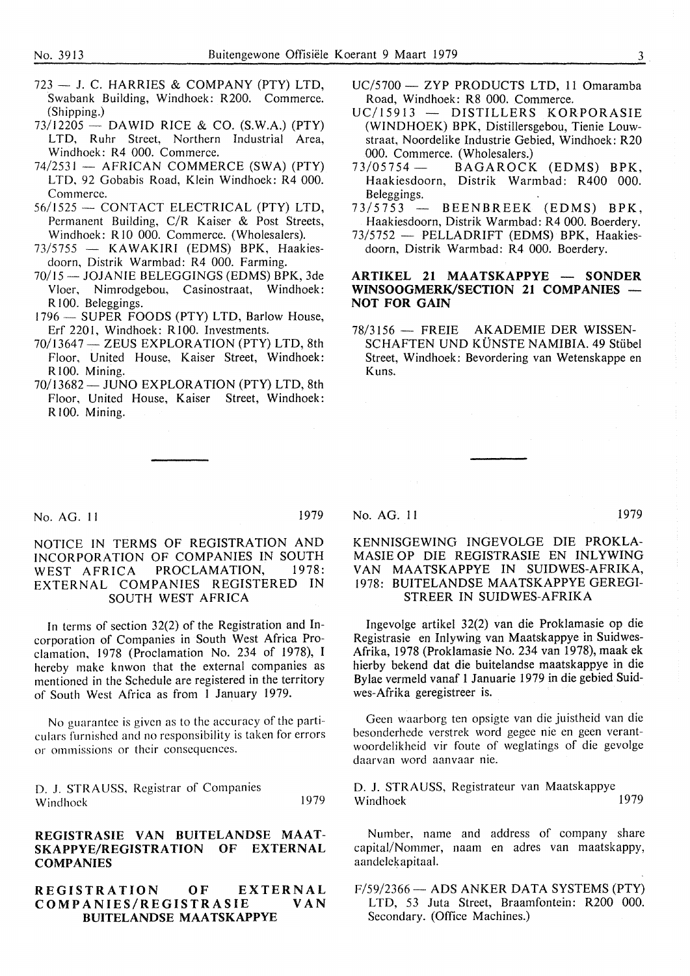- $723 J$ . C. HARRIES & COMPANY (PTY) LTD. Swabank Building, Windhoek: R200. Commerce. (Shipping.)
- $73/12205 -$  DAWID RICE & CO. (S.W.A.) (PTY) LTD, Ruhr Street, Northern Industrial Area, Windhoek: R4 000. Commerce.
- $74/2531$  AFRICAN COMMERCE (SWA) (PTY) LTD, 92 Gobabis Road, Klein Windhoek: R4 000. Commerce.
- 56/1525 CONTACT ELECTRICAL (PTY) LTD, Permanent Building, C/R Kaiser & Post Streets, Windhoek: R 10 000. Commerce. (Wholesalers).
- 73/5755 KAWAKIRI (EDMS) BPK, Haakiesdoorn, Distrik Warmbad: R4 000. Farming.
- 70/15 JOJANIE BELEGGINGS (EDMS) BPK, 3de Vloer, Nimrodgebou, Casinostraat, Windhoek: RI 00. Beleggings.
- 1796 SUPER FOODS (PTY) LTD, Barlow House. Erf 2201, Windhoek: R 100. Investments.
- 70/13647 ZEUS EXPLORATION (PTY) LTD, 8th Floor, United House, Kaiser Street, Windhoek: R 100. Mining.
- 70/13682-JUNO EXPLORATION (PTY) LTD, 8th Floor, United House, Kaiser Street, Windhoek: R<sub>100</sub>. Mining.
- UC/5700 ZYP PRODUCTS LTD, 11 Omaramba Road, Windhoek: RS 000. Commerce.
- UC/15913 DISTILLERS KORPORASIE (WINDHOEK) BPK, Distillersgebou, Tienie Louwstraat, Noordelike lndustrie Gebied, Windhoek: R20 000. Commerce. (Wholesalers.)<br> $73/05754$  - BAGAROCK
- BAGAROCK (EDMS) BPK, Haakiesdoorn, Distrik Warmbad: R400 000. Beleggings.
- $73/5753$  BEENBREEK (EDMS) BPK, Haakiesdoorn, Distrik Warmbad: R4 000. Boerdery.
- 73/5752 PELLADRIFT (EDMS) BPK, Haakiesdoorn, Distrik Warmbad: R4 000. Boerdery.

#### **ARTIKEL 21 MAATSKAPPYE - SONDER WINSOOGMERK/SECTION 21 COMPANIES -NOT FOR GAIN**

78/3156 - FREIE AKADEMIE DER WISSEN-SCHAFTEN UND KUNSTE NAMIBIA. 49 Stiibel Street, Windhoek: Bevordering van Wetenskappe en Kuns.

## No. AG. II 1979

## NOTICE IN TERMS OF REGISTRATION AND INCORPORATION OF COMPANIES IN SOUTH<br>WEST AFRICA PROCLAMATION. 1978: WEST AFRICA PROCLAMATION, EXTERNAL COMPANIES REGISTERED IN SOUTH WEST AFRICA

In terms of section 32(2) of the Registration and Incorporation of Companies in South West Africa Proclamation, 1978 (Proclamation No. 234 of 1978), I hereby make knwon that the external companies as mentioned in the Schedule are registered in the territory of South West Africa as from l January 1979.

No guarantee is given as to the accuracy of the particulars furnished and no responsibility is taken for errors or ommissions or their consequences.

D. J. STRAUSS, Registrar of Companies Windhoek 1979

## **REGISTRASIE VAN BUITELANDSE MAAT-SKAPPYE/REGISTRA TION OF EXTERNAL COMPANIES**

#### **REGISTRATION OF EXTERNAL COMPANIES/REGISTRASIE BUITELANDSE MAATSKAPPYE**

## No. AG. 11 1979

KENNISGEWING INGEVOLGE DIE PROKLA-MASIE OP DIE REGISTRASIE EN INLYWING VAN MAATSKAPPYE IN SUIDWES-AFRIKA, 1978: BUITELANDSE MAATSKAPPYE GEREGI-STREER IN SUIDWES-AFRIKA

Jngevolge artikel 32(2) van die Proklamasie op die Registrasie en Inlywing van Maatskappye in Suidwes-Afrika, 1978 (Proklamasie No. 234 van 1978), maak ek hierby bekend dat die buitelandse maatskappye in die Bylae vermeld vanaf l Januarie 1979 in die gebied Suidwes-Afrika geregistreer is.

Geen waarborg ten opsigte van die juistheid van die besonderhede verstrek word gegee nie en geen verantwoordelikheid vir foute of weglatings of die gevolge daarvan word aanvaar nie.

D. J. STRAUSS, Registrateur van Maatskappye Windhoek 1979

Number, name and address of company share capital/Nommer, naam en adres van maatskappy, aandelekapitaal.

F/59/2366- ADS ANKER DATA SYSTEMS (PTY) LTD, *53* Juta Street, Braamfontein: R200 000. Secondary. (Office Machines.)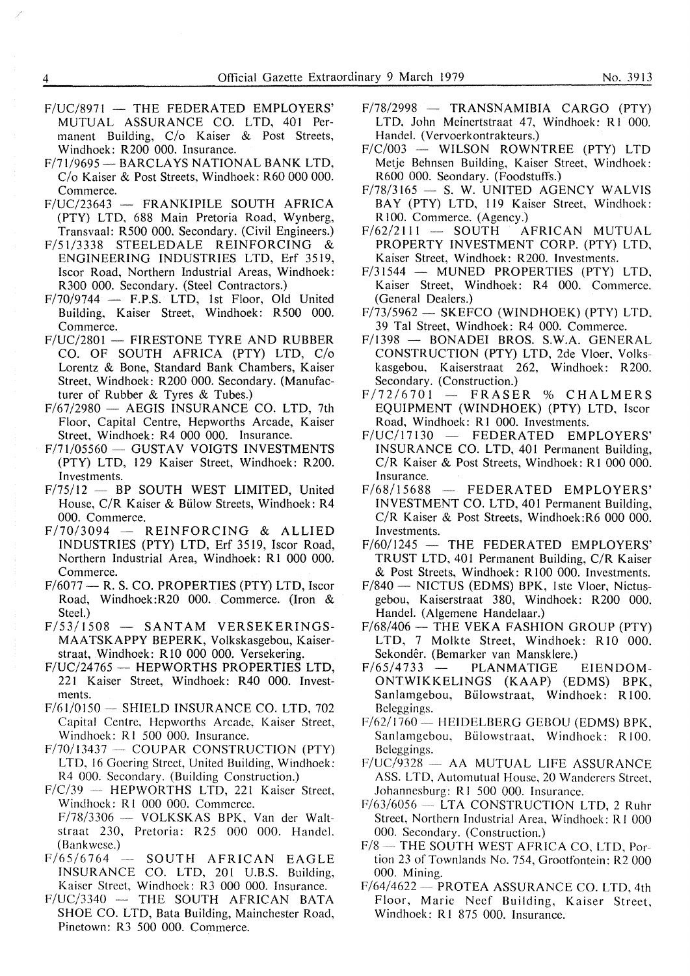- $F/UC/8971$  THE FEDERATED EMPLOYERS' MUTUAL ASSURANCE CO. LTD, 401 Permanent Building, *Clo* Kaiser & Post Streets, Windhoek: R200 000. Insurance.
- F/71/9695 BARCLAYS NATIONAL BANK LTD. *Clo* Kaiser & Post Streets, Windhoek: R60 000 000. Commerce.
- F/UC/23643 FRANKIPILE SOUTH AFRICA (PTY) LTD, 688 Main Pretoria Road, Wynberg, Transvaal: R500 000. Secondary. (Civil Engineers.)
- F/51/3338 STEELEDALE REINFORCING & ENGINEERING INDUSTRIES LTD, Erf 3519, Iscor Road, Northern Industrial Areas, Windhoek: R300 000. Secondary. (Steel Contractors.)
- $F/70/9744$  F.P.S. LTD, 1st Floor, Old United Building, Kaiser Street, Windhoek: R500 000. Commerce.
- $F/UC/2801$  FIRESTONE TYRE AND RUBBER CO. OF SOUTH AFRICA (PTY) LTD, *Clo*  Lorentz & Bone, Standard Bank Chambers, Kaiser Street, Windhoek: R200 000. Secondary. (Manufacturer of Rubber & Tyres & Tubes.)
- $F/67/2980$  AEGIS INSURANCE CO. LTD, 7th Floor, Capital Centre, Hepworths Arcade, Kaiser Street, Windhoek: R4 000 000. Insurance.
- $F/71/05560$  GUSTAV VOIGTS INVESTMENTS (PTY) LTD, 129 Kaiser Street, Windhoek: R200. Investments.
- $F/75/12$  BP SOUTH WEST LIMITED. United House, C/R Kaiser & Billow Streets, Windhoek: R4 000. Commerce.
- $F/70/3094 REINFORMG & ALLED$ INDUSTRIES (PTY) LTD, Erf 3519, Iscor Road, Northern Industrial Area, Windhoek: Rl 000 000. Commerce.
- $F/6077$  R. S. CO. PROPERTIES (PTY) LTD, Iscor Road, Windhoek:R20 000. Commerce. (Iron & Steel.)
- F/53/1508 SANTAM VERSEKERINGS-MAATSKAPPY BEPERK, Volkskasgebou, Kaiserstraat, Windhoek: RlO 000 000. Versekering.
- F/UC/24765 HEPWORTHS PROPERTIES LTD. 221 Kaiser Street, Windhoek: R40 000. Investments.
- $F/61/0150$  SHIELD INSURANCE CO. LTD, 702 Capital Centre, Hepworths Arcade, Kaiser Street, Windhoek: RI 500 000. Insurance.
- $F/70/13437$  COUPAR CONSTRUCTION (PTY) LTD, 16 Goering Street, United Building, Windhoek: R4 000. Secondary. (Building Construction.)
- $F/C/39$  HEPWORTHS LTD, 221 Kaiser Street, Windhoek: R1 000 000. Commerce.
- $F/78/3306$  VOLKSKAS BPK, Van der Waltstraat 230, Pretoria: R25 000 000. Handel. (Bankwese.)
- $F/65/6764$  SOUTH AFRICAN EAGLE INSURANCE co. LTD, 201 U.B.S. Building, Kaiser Street, Windhoek: R3 000 000. Insurance.
- $F/UC/3340$  THE SOUTH AFRICAN BATA SHOE CO. LTD, Bata Building, Mainchester Road, Pinetown: R3 500 000. Commerce.
- F/78/2998 TRANSNAMIBIA CARGO (PTY) LTD, John Meinertstraat 47, Windhoek: R1 000. Handel. (Vervoerkontrakteurs.)
- $F/C/003$  WILSON ROWNTREE (PTY) LTD Metje Behnsen Building, Kaiser Street, Windhoek: R600 000. Seondary. (Foodstuffs.)
- $F/78/3165$  S. W. UNITED AGENCY WALVIS BAY (PTY) LTD, 119 Kaiser Street, Windhoek: R100. Commerce. (Agency.)<br>62/2111 - SOUTH AFRICAN MUTUAL
- $F/62/2111$  SOUTH PROPERTY INVESTMENT CORP. (PTY) LTD, Kaiser Street, Windhoek: R200. Investments.
- $F/31544$  MUNED PROPERTIES (PTY) LTD, Kaiser Street, Windhoek: R4 000. Commerce. (General Dealers.)
- $F/73/5962$  SKEFCO (WINDHOEK) (PTY) LTD. 39 Ta! Street, Windhoek: R4 000. Commerce.
- F/1398 BONADEI BROS. S.W.A. GENERAL CONSTRUCTION (PTY) LTD, 2de Vloer, Volkskasgebou, Kaiserstraat 262, Windhoek: R200. Secondary. (Construction.)
- $F/72/6701 FRASER % CHALMERS$ EQUIPMENT (WINDHOEK) (PTY) LTD, lscor Road, Windhoek: R1 000. Investments.
- $F/UC/17130$  FEDERATED EMPLOYERS' INSURANCE CO. LTD, 401 Permanent Building, C/R Kaiser & Post Streets, Windhoek: R1 000 000. Insurance.
- $F/68/15688$  FEDERATED EMPLOYERS' INVESTMENT CO. LTD, 401 Permanent Building, C/R Kaiser & Post Streets, Windhoek:R6 000 000. Investments.
- $F/60/1245$  THE FEDERATED EMPLOYERS' TRUST LTD, 401 Permanent Building, C/R Kaiser & Post Streets, Windhoek: RlO0 000. Investments.
- F/840 NICTUS (EDMS) BPK, 1ste Vloer, Nictusgebou, Kaiserstraat 380, Windhoek: R200 000. Handel. (Algemene Handelaar.)
- $F/68/406$  THE VEKA FASHION GROUP (PTY) LTD, 7 Molkte Street, Windhoek: R 10 000. Sekondêr. (Bemarker van Mansklere.)
- $F/65/4733$  PLANMATIGE EIENDOM-ONTWIKKELINGS (KAAP) (EDMS) BPK, Sanlamgebou, Bülowstraat, Windhoek: R100. Beleggings.
- F/62/1760 HEIDELBERG GEBOU (EDMS) BPK, Sanlamgebou, Bülowstraat, Windhoek: R100. Beleggings.
- F/UC/9328 AA MUTUAL LIFE ASSURANCE ASS. LTD, Automutual House, 20 Wanderers Street, Johannesburg: R l 500 000. Insurance.
- F/63/6056 LTA CONSTRUCTION LTD, 2 Ruhr Street, Northern Industrial Area, Windhoek: Rl 000 000. Secondary. (Construction.)
- F/8-THE SOUTH WEST AFRICA CO, LTD, Portion 23 of Townlands No. 754, Grootfontein: R2 000 000. Mining.
- F/64/4622 PROTEA ASSURANCE CO. LTD, 4th Floor, Marie Neef Building, Kaiser Street, Windhoek: R1 875 000. Insurance.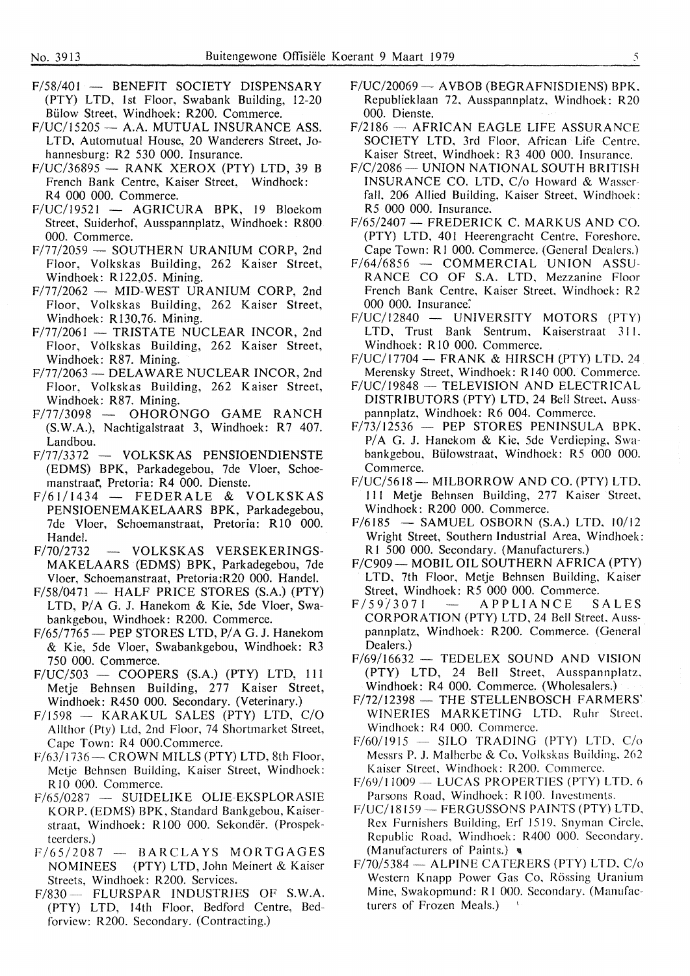- F/58/401 BENEFIT SOCIETY DISPENSARY (PTY) LTD, 1st Floor, Swabank Building, 12-20 Bulow Street, Windhoek: R200. Commerce.
- $F/UC/15205$  A.A. MUTUAL INSURANCE ASS. LTD, Automutual House, 20 Wanderers Street, Johannesburg: R2 530 000. Insurance.
- $F/UC/36895$  RANK XEROX (PTY) LTD, 39 B French Bank Centre, Kaiser Street, Windhoek: R4 000 000. Commerce.
- F/UC/19521 AGRICURA BPK, 19 Bloekom Street, Suiderhof, Ausspannplatz, Windhoek: RS00 000. Commerce.
- F/77/2059 SOUTHERN URANIUM CORP, 2nd Floor, Volkskas Building, 262 Kaiser Street, Windhoek: R122,05. Mining.
- $F/77/2062$  MID-WEST URANIUM CORP, 2nd Floor, Volkskas Building, 262 Kaiser Street, Windhoek: R130,76. Mining.
- $F/77/2061 TRISTATE NUCLEAR INCOR, 2nd$ Floor, Volkskas Building, 262 Kaiser Street, Windhoek: R87. Mining.
- F/77/2063 DELAWARE NUCLEAR INCOR, 2nd Floor, Volkskas Building, 262 Kaiser Street, Windhoek: R87. Mining.
- $F/77/3098$  OHORONGO GAME RANCH (S.W.A.), Nachtigalstraat 3, Windhoek: R7 407. Landbou.
- F/77/3372 VOLKSKAS PENSIOENDIENSTE (EDMS) BPK, Parkadegebou, 7de Vloer, Schoemanstraat, Pretoria: R4 000. Dienste.
- $F/61/1434$  FEDERALE & VOLKSKAS **PENSIOENEMAKELAARS BPK,** Parkadegebou, 7 de Vloer, Schoemanstraat, Pretoria: RIO 000. Handel.
- F/70/2732 VOLKSKAS VERSEKERINGS-**MAKELAARS (EDMS) BPK,** Parkadegebou, 7de Vloer, Schoemanstraat, Pretoria:R20 000. Handel.
- F/58/0471 **HALF PRICE STORES (S.A.) (PTY)**  LTD, **P/ A G. J.** Hanekom & **Kie,** 5de Vloer, **Swa**bankgebou, Windhoek: R200. Commerce.
- F/65/7765 PEP STORES LTD, P/A G. J. Hanekom & Kie, 5de Vloer, Swabankgebou, Windhoek: R3 750 000. Commerce.
- F/UC/503 **COOPERS (S.A.) (PTY)** LTD, 111 Metje Behnsen Building, 277 Kaiser Street, Windhoek: R450 000. Secondary. (Veterinary.)
- F/1598 **KARAKUL SALES (PTY) LTD, C/O**  Allthor (Pty) Ltd, 2nd Floor, 74 **Shortmarket Street, Cape Town: R4 000.Commerce.**
- **F/63/1736- CROWN MILLS (PTY) LTD, 8th Floor,**  Metje Behnsen Building, **Kaiser Street, Windhoek:**  RIO 000. **Commerce.**
- **F/65/0287 SUIDELIKE OLIE-EKSPLORASIE KORP. (EDMS) BPK, Standard Bankgebou, Kaiser**straat, Windhoek: R 100 000. **Sekonder.** (Prospekteerders.)
- F/65/2087 **BARCLAYS MORTGAGES**<br>NOMINEES (PTY) LTD, John Meinert & Kaiser **NOMINEES (PTY) LTD,** John **Meinert** & **Kaiser Streets, Windhoek: R200. Services.**
- **F/830- FLURSPAR INDUSTRIES OF S.W.A. (PTY) LTD,** 14th Floor, **Bedford** Centre, **Bed**forview: **R200. Secondary.** (Contracting.)
- F/UC/20069 AVBOB (BEGRAFNISDIENS) BPK. Republieklaan 72, Ausspannplatz, Windhoek: R20 000. Dienste.
- $F/2186$  AFRICAN EAGLE LIFE ASSURANCE SOCIETY LTD, 3rd Floor, African Life Centre. Kaiser Street, Windhoek: R3 400 000. Insurance.
- F/C/2086 UNION NATIONAL SOUTH BRITISH INSURANCE CO. LTD, C/o Howard & Wasser fall, 206 Allied Building, Kaiser Street. Windhoek: R5 000 000. Insurance.
- F/65/2407 FREDERICK C. MARKUS AND CO. (PTY) LTD, 401 Heerengracht Centre, Foreshore, Cape Town: RI 000. Commerce. (General Dealers.)
- $F/64/6856$  COMMERCIAL UNION ASSU-RANCE CO OF S.A. LTD, Mezzanine Floor French Bank Centre, Kaiser Street, Windhoek: R2 000 000. Insurance:
- F/UC/12840 UNIVERSITY MOTORS (PTY) LTD, Trust Bank Sentrum, Kaiserstraat 311. Windhoek: RIO 000. Commerce.
- $F/UC/17704$  FRANK & HIRSCH (PTY) LTD, 24 Merensky Street, Windhoek: R 140 000. Commerce.
- F/UC/19848 TELEVISION AND ELECTRICAL DISTRIBUTORS (PTY) LTD, 24 Bell Street, Ausspannplatz, Windhoek: R6 004. Commerce.
- $F/73/12536$  PEP STORES PENINSULA BPK. P/A G. J. Hanekom & Kie, 5de Verdieping, Swabankgebou, Biilowstraat. Windhoek: R5 000 000. Commerce.
- F/UC/5618-MILBORROW AND CO. (PTY) LTD. 111 Metje Behnsen Building, 277 Kaiser Street, Windhoek: R200 000. Commerce.
- $F/6185 SAMUEL OBBORN (S.A.) LTD, 10/12$ Wright Street, Southern Industrial Area, Windhoek: RI 500 000. Secondary. (Manufacturers.)
- F/C909-MOBIL OIL SOUTHERN AFRICA (PTY) LTD, 7th Floor, Metje Behnsen Building, Kaiser Street, Windhoek: R5 000 000. Commerce.
- F/59/3071 APPLIANCE SALES CORPORATION (PTY) LTD, 24 Bell Street. Ausspannplatz, Windhoek: R200. Commerce. (General Dealers.)
- $F/69/16632$  TEDELEX SOUND AND VISION (PTY) LTD, 24 Bell Street, Ausspannplatz. Windhoek: R4 000. Commerce. (Wholesalers.)
- $F/72/12398$  THE STELLENBOSCH FARMERS' **WINERIES MARKETING** LTD, Ruhr Street. Windhoek: R4 000. Commerce.
- $F/60/1915$  SILO TRADING (PTY) LTD, C/o Messrs P. J. Malherbe & Co, Volkskas Building, 262 Kaiser Street, Windhoek: R200. Commerce.
- $F/69/11009 LUCAS$  PROPERTIES (PTY) LTD, 6 Parsons Road, Windhoek: RIOO. Investments.
- F/UC/18159- FERGUSSONS PAINTS (PTY) LTD, Rex Furnishers Building, Erf 1519, Snyman Circle, Republic Road, Windhoek: R400 000. Secondary. (Manufacturers of Paints.)  $\blacksquare$
- $F/70/5384$  ALPINE CATERERS (PTY) LTD, C/o Western Knapp Power Gas Co, Rössing Uranium Mine, Swakopmund: Rl 000. Secondary. (Manufacturers of Frozen Meals.)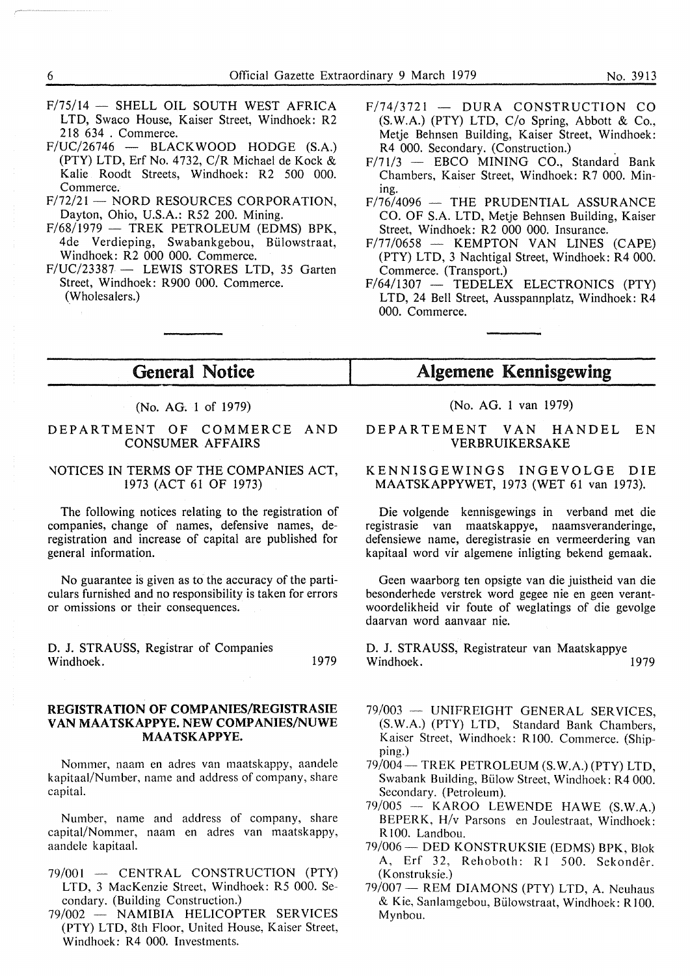- $F/75/14$  SHELL OIL SOUTH WEST AFRICA LTD, Swaco House, Kaiser Street, Windhoek: R2 218 634 . Commerce.
- $F/UC/26746$  BLACKWOOD HODGE (S.A.) (PTY) LTD, Erf No. 4732,  $C/R$  Michael de Kock  $\&$ Kalie Roodt Streets, Windhoek: R2 500 000. Commerce.
- $F/72/21 NORD$  RESOURCES CORPORATION. Dayton, Ohio, U.S.A.: R52 200. Mining.
- $F/68/1979$  TREK PETROLEUM (EDMS) BPK. 4de Verdieping, Swabankgebou, Biilowstraat, Windhoek: R2 000 000. Commerce.
- $F/UC/23387$  LEWIS STORES LTD, 35 Garten Street, Windhoek: R900 000. Commerce. (Wholesalers.)
- $F/74/3721$  DURA CONSTRUCTION CO (S.W.A.) (PTY) LTD, C/o Spring, Abbott & Co., Metje Behnsen Building, Kaiser Street, Windhoek: R4 000. Secondary. (Construction.)
- $F/71/3$  EBCO MINING CO., Standard Bank Chambers, Kaiser Street, Windhoek: R7 000. Mining.
- $F/76/4096$  THE PRUDENTIAL ASSURANCE CO. OF S.A. LTD, Metje Behnsen Building, Kaiser Street, Windhoek: R2 000 000. Insurance.
- $F/77/0658$  KEMPTON VAN LINES (CAPE) (PTY) LTD, 3 Nachtigal Street, Windhoek: R4 000. Commerce. (Transport.)
- $F/64/1307$  TEDELEX ELECTRONICS (PTY) LTD, 24 Bell Street, Ausspannplatz, Windhoek: R4 000. Commerce.

## General Notice

## (No. AG. 1 of 1979)

## DEPARTMENT OF COMMERCE AND CONSUMER AFFAIRS

#### \lOTICES IN TERMS OF THE COMPANIES ACT, 1973 (ACT 61 OF 1973)

The following notices relating to the registration of companies, change of names, defensive names, deregistration and increase of capital are published for general information.

No guarantee is given as to the accuracy of the particulars furnished and no responsibility is taken for errors or omissions or their consequences.

D. J. STRAUSS, Registrar of Companies Windhoek. 1979

## **REGISTRATION OF COMPANIES/REGISTRASIE VAN MAATSKAPPYE. NEW COMP ANIES/NUWE MAA TSKAPPYE.**

Nommer, naam en adres van maatskappy, aandele kapitaal/Number, name and address of company, share capital.

Number, name and address of company, share capital/Nommer, naam en adres van maatskappy, aandele kapitaal.

- 79/001 CENTRAL CONSTRUCTION (PTY) LTD, 3 MacKenzie Street, Windhoek: R5 000. Secondary. (Building Construction.)
- 79/002 **NAMIBIA** HELICOPTER SERVICES (PTY) LTD, 8th Floor, United House, Kaiser Street, Windhoek: R4 000. Investments.

## Algemene Kennisgewing

(No. AG. 1 van 1979)

DEPARTEMENT VAN HANDEL EN VERBRUIKERSAKE

## KENNISGEWINGS INGEVOLGE DIE MAATSKAPPYWET, 1973 (WET 61 van 1973).

Die volgende kennisgewings in verband met die registrasie van maatskappye, naamsveranderinge, defensiewe name, deregistrasie en vermeerdering van kapitaal word vir algemene inligting bekend gemaak.

Geen waarborg ten opsigte van die juistheid van die besonderhede verstrek word gegee nie en geen verantwoordelikheid vir foute of weglatings of die gevolge daarvan word aanvaar nie.

D. J. STRAUSS, Registrateur van Maatskappye Windhoek.

- 79/003 UNIFREIGHT GENERAL SERVICES. **(S.W.A.)** (PTY) LTD, Standard Bank Chambers, Kaiser Street, Windhoek: R 100. Commerce. (Shipping.)
- 79/004 TREK PETROLEUM (S.W.A.) (PTY) LTD, Swabank Building, Billow Street, Windhoek: R4 000. Secondary. (Petroleum).
- 79/005 KAROO LEWENDE HAWE (S.W.A.) BEPERK, H/v Parsons en Joulestraat, Windhoek: Rl00. Landbou.
- 79/006 DED KONSTRUKSIE (EDMS) BPK, Blok A, Erf 32, Rehoboth: Rl 500. Sekonder. (Konstruksie.)
- 79/007 REM DIAMONS (PTY) LTD, A. Neuhaus & Kie, Sanlamgebou, Bülowstraat, Windhoek: R100. Mynbou.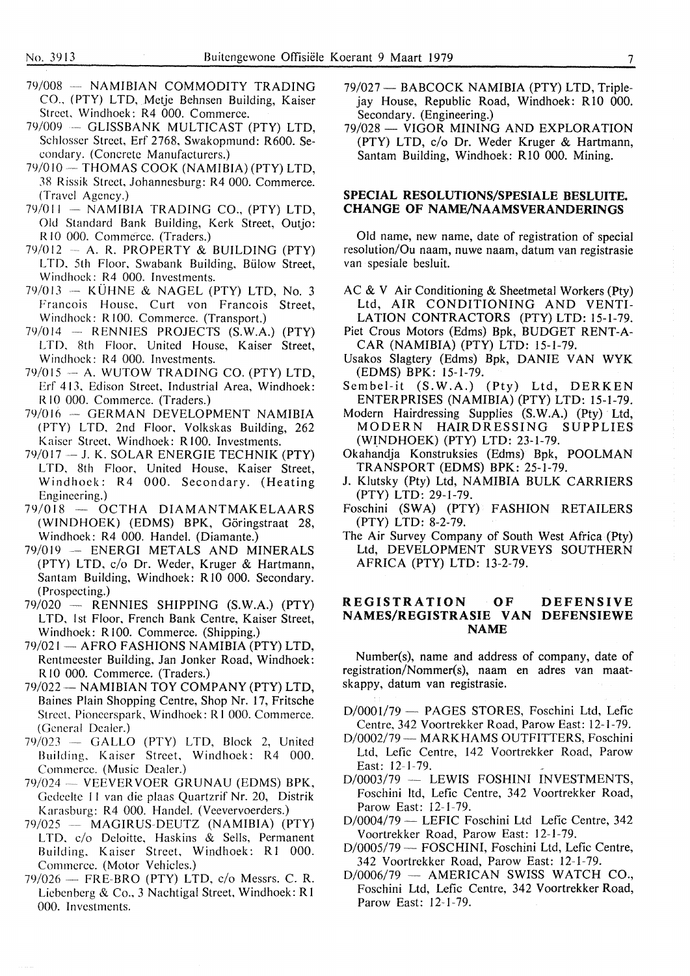- 79/008 -- NAMIBIAN COMMODITY TRADING CO., (PTY) LTD, Metie Behnsen Building, Kaiser Street. Windhoek: R4 000. Commerce.
- 79/009 GLISSBANK MULTICAST (PTY) LTD, Schlosser Street, Erf 2768, Swakopmund: R600. Secondary. (Concrete Manufacturers.)
- 79/010 THOMAS COOK (NAMIBIA) (PTY) LTD, 38 Rissik Street, Johannesburg: R4 000. Commerce. (Travel Agency.)
- $79/011 NAMIBIA$  TRADING CO., (PTY) LTD, Old Standard Bank Building, Kerk Street, Outjo: R 10 000. Commerce. (Traders.)
- $79/012$  A. R. PROPERTY & BUILDING (PTY) LTD, 5th Floor, Swabank Building, Bülow Street, Windhoek: R4 000. lnvestments.
- $79/013$  KÜHNE & NAGEL (PTY) LTD, No. 3 Francois House, Curt von Francois Street, Windhoek: R100. Commerce. (Transport.)
- $79/014$  RENNIES PROJECTS (S.W.A.) (PTY) LTD, 8th Floor, United House, Kaiser Street, Windhoek: R4 000. Investments.
- $79/015 A$ . WUTOW TRADING CO. (PTY) LTD, Erf 413, Edison Street, Industrial Area, Windhoek: R IO 000. Commerce. (Traders.)
- 79/016 GERMAN DEVELOPMENT NAMIBIA ( PTY) LTD, 2nd Floor, Volkskas Building, 262 Kaiser Street, Windhoek: R100. Investments.
- $79/017 J$ . K. SOLAR ENERGIE TECHNIK (PTY) LTD. 8th Floor, United House, Kaiser Street, Windhoek: R4 000. Secondary. (Heating Engineering.)
- 79/018 OCTHA DIAMANTMAKELAARS (WINDHOEK) (EDMS) BPK, Goringstraat 28, Windhoek: R4 000. Handel. (Diamante.)
- 79/019 -- ENERGI METALS AND MINERALS (PTY) LTD, c/o Dr. Weder, Kruger & Hartmann, Santam Building, Windhoek: RIO 000. Secondary. ( Prospecting.)
- $79/020$  RENNIES SHIPPING (S.W.A.) (PTY) LTD, 1st Floor, French Bank Centre, Kaiser Street, Windhoek: R 100. Commerce. (Shipping.)
- 79/021 AFRO FASHIONS NAMIBIA (PTY) LTD, Rentmeester Building, Jan Jonker Road, Windhoek: RIO 000. Commerce. (Traders.)
- 79/022 NAMIBIAN TOY COMPANY (PTY) LTD, Baines Plain Shopping Centre, Shop Nr. 17, Fritsche Street, Pioneerspark, Windhoek: R 1 000. Commerce. (General Dealer.)
- $79/023$  GALLO (PTY) LTD, Block 2, United Building, Kaiser Street, Windhoek: R4 000. Commerce. (Music Dealer.)
- 79/024 VEEVERVOER GRUNAU (EDMS) BPK, Gedeelte 11 van die plaas Quartzrif Nr. 20, Distrik Karasburg: R4 000. Handel. (Veevervoerders.)
- 79/025 MAGIRUS-DEUTZ (NAMIBIA) (PTY) LTD, c/o Deloitte, Haskins & Sells, Permanent Building, Kaiser Street, Windhoek: Rl 000. Commerce. (Motor Vehicles.)
- $79/026$  FRE-BRO (PTY) LTD, c/o Messrs. C. R. Liebenberg & Co., 3 Nachtigal Street, Windhoek: Rl 000. Investments.
- 79/027 BABCOCK NAMIBIA (PTY) LTD, Triplejay House, Republic Road, Windhoek: R 10 000. Secondary. (Engineering.)
- 79/028 VIGOR MINING AND EXPLORATION (PTY) LTD, c/o Dr. Weder Kruger & Hartmann, Santam Building, Windhoek: RIO 000. Mining.

## **SPECIAL RESOLUTIONS/SPESIALE BESLUITE. CHANGE OF NAME/NAAMSVERANDERINGS**

Old name, new name, date of registration of special resolution/Ou naam, nuwe naam, datum van registrasie van spesiale besluit.

- AC & V Air Conditioning & Sheetmetal Workers (Pty) Ltd, AIR CONDITIONING AND VENTI-LATION CONTRACTORS (PTY) LTD: 15-1-79.
- Piet Crous Motors (Edms) Bpk, BUDGET RENT-A-CAR (NAMIBIA) (PTY) LTD: 15-1-79.
- Usakos Slagtery (Edms) Bpk, DANIE VAN WYK (EDMS) BPK: 15-1-79.
- Sembel-it (S.W.A.) (Pty) Ltd, DERKEN ENTERPRISES (NAMIBIA) (PTY) LTD: 15-1-79.
- Modern Hairdressing Supplies (S.W.A.) (Pty) Ltd,<br>MODERN HAIRDRESSING SUPPLIES HAIRDRESSING SUPPLIES (WINDHOEK) (PTY) LTD: 23-1-79.
- Okahandja Konstruksies (Edms) Bpk, POOLMAN TRANSPORT (EDMS) BPK: 25-1-79.
- J. Klutsky (Pty) Ltd, NAMIBIA BULK CARRIERS (PTY) LTD: 29-1-79.
- Foschini (SWA) (PTY) FASHION RETAILERS (PTY) LTD: 8-2-79.
- The Air Survey Company of South West Africa (Pty) Ltd, DEVELOPMENT SURVEYS SOUTHERN AFRICA (PTY) LTD: 13-2-79.

#### **REGISTRATION OF DEFENSIVE NAMES/REGISTRASIE VAN DEFENSIEWE NAME**

Number(s), name and address of company, date of registration/Nommer(s), naam en adres van maatskappy, datum van registrasie.

- D/0001/79 PAGES STORES, Foschini Ltd, Lefic Centre, 342 Voortrekker Road, Parow East: 12-1-79.
- D/0002/79 MARKHAMS OUTFITTERS, Foschini Ltd, Lefic Centre, 142 Voortrekker Road, Parow East: 12-1-79.
- D/0003/79 LEWIS FOSHINI INVESTMENTS. Foschini ltd, Lefic Centre, 342 Voortrekker Road, Parow East: 12-1-79.
- D/0004/79 LEFIC Foschini Ltd Lefic Centre, 342 Voortrekker Road, Parow East: 12-1-79.
- D/0005/79 FOSCHINI, Foschini Ltd, Lefic Centre, 342 Voortrekker Road, Parow East: 12-1-79.
- D/0006/79 AMERICAN SWISS WATCH CO., Foschini Ltd, Lefic Centre, 342 Voortrekker Road, Parow East: 12-1-79.